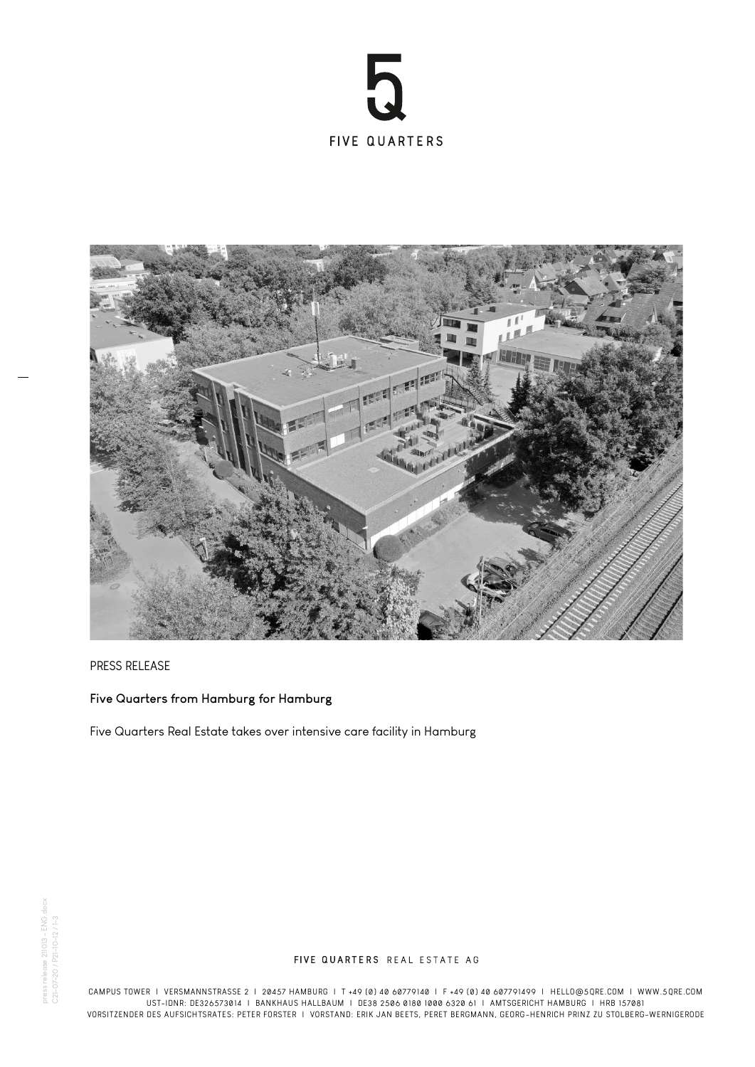



## PRESS RELEASE

## **Five Quarters from Hamburg for Hamburg**

Five Quarters Real Estate takes over intensive care facility in Hamburg

## FIVE QUARTERS REAL ESTATE AG

CAMPUS TOWER I VERSMANNSTRASSE 2 I 20457 HAMBURG I T +49 (0) 40 60779140 I F +49 (0) 40 607791499 I HELLO@5QRE.COM I WWW.5QRE.COM UST-IDNR: DE326573014 I BANKHAUS HALLBAUM I DE38 2506 0180 1000 6320 61 I AMTSGERICHT HAMBURG I HRB 157081 VORSITZENDER DES AUFSICHTSRATES: PETER FORSTER I VORSTAND: ERIK JAN BEETS, PERET BERGMANN, GEORG-HENRICH PRINZ ZU STOLBERG-WERNIGERODE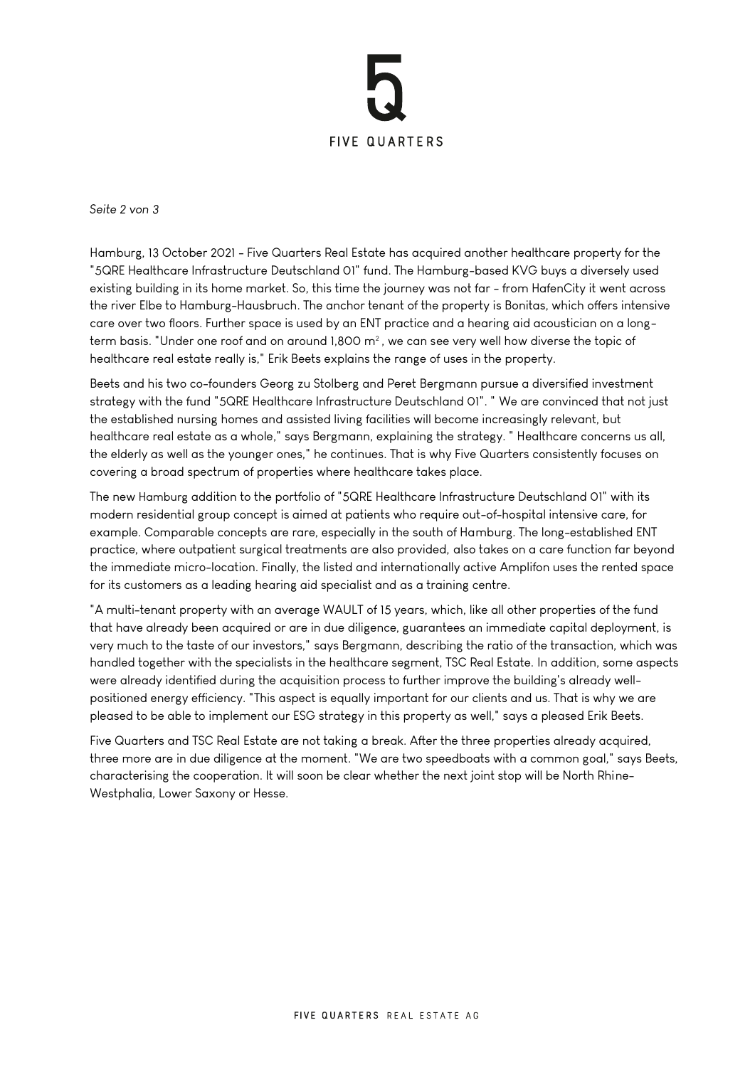

*Seite 2 von 3*

Hamburg, 13 October 2021 - Five Quarters Real Estate has acquired another healthcare property for the "5QRE Healthcare Infrastructure Deutschland 01" fund. The Hamburg-based KVG buys a diversely used existing building in its home market. So, this time the journey was not far - from HafenCity it went across the river Elbe to Hamburg-Hausbruch. The anchor tenant of the property is Bonitas, which offers intensive care over two floors. Further space is used by an ENT practice and a hearing aid acoustician on a longterm basis. "Under one roof and on around 1,800 m², we can see very well how diverse the topic of healthcare real estate really is," Erik Beets explains the range of uses in the property.

Beets and his two co-founders Georg zu Stolberg and Peret Bergmann pursue a diversified investment strategy with the fund "5QRE Healthcare Infrastructure Deutschland 01". " We are convinced that not just the established nursing homes and assisted living facilities will become increasingly relevant, but healthcare real estate as a whole," says Bergmann, explaining the strategy. " Healthcare concerns us all, the elderly as well as the younger ones," he continues. That is why Five Quarters consistently focuses on covering a broad spectrum of properties where healthcare takes place.

The new Hamburg addition to the portfolio of "5QRE Healthcare Infrastructure Deutschland 01" with its modern residential group concept is aimed at patients who require out-of-hospital intensive care, for example. Comparable concepts are rare, especially in the south of Hamburg. The long-established ENT practice, where outpatient surgical treatments are also provided, also takes on a care function far beyond the immediate micro-location. Finally, the listed and internationally active Amplifon uses the rented space for its customers as a leading hearing aid specialist and as a training centre.

"A multi-tenant property with an average WAULT of 15 years, which, like all other properties of the fund that have already been acquired or are in due diligence, guarantees an immediate capital deployment, is very much to the taste of our investors," says Bergmann, describing the ratio of the transaction, which was handled together with the specialists in the healthcare segment, TSC Real Estate. In addition, some aspects were already identified during the acquisition process to further improve the building's already wellpositioned energy efficiency. "This aspect is equally important for our clients and us. That is why we are pleased to be able to implement our ESG strategy in this property as well," says a pleased Erik Beets.

Five Quarters and TSC Real Estate are not taking a break. After the three properties already acquired, three more are in due diligence at the moment. "We are two speedboats with a common goal," says Beets, characterising the cooperation. It will soon be clear whether the next joint stop will be North Rhine-Westphalia, Lower Saxony or Hesse.